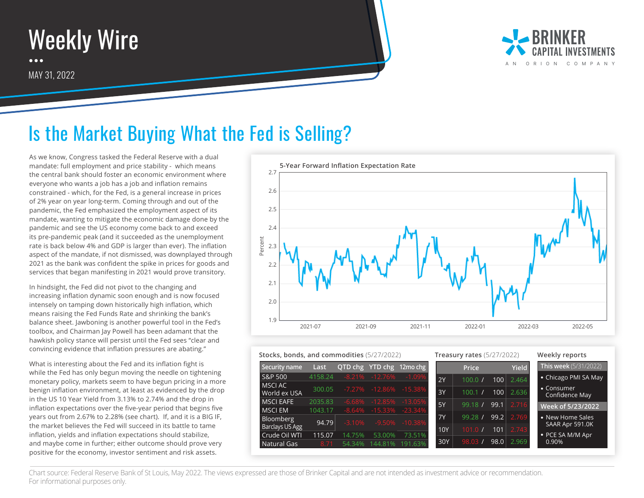



## Is the Market Buying What the Fed is Selling?

As we know, Congress tasked the Federal Reserve with a dual mandate: full employment and price stability - which means the central bank should foster an economic environment where everyone who wants a job has a job and inflation remains constrained - which, for the Fed, is a general increase in prices of 2% year on year long-term. Coming through and out of the pandemic, the Fed emphasized the employment aspect of its mandate, wanting to mitigate the economic damage done by the pandemic and see the US economy come back to and exceed its pre-pandemic peak (and it succeeded as the unemployment rate is back below 4% and GDP is larger than ever). The inflation aspect of the mandate, if not dismissed, was downplayed through 2021 as the bank was confident the spike in prices for goods and services that began manifesting in 2021 would prove transitory.

In hindsight, the Fed did not pivot to the changing and increasing inflation dynamic soon enough and is now focused intensely on tamping down historically high inflation, which means raising the Fed Funds Rate and shrinking the bank's balance sheet. Jawboning is another powerful tool in the Fed's toolbox, and Chairman Jay Powell has been adamant that the hawkish policy stance will persist until the Fed sees "clear and convincing evidence that inflation pressures are abating."

What is interesting about the Fed and its inflation fight is while the Fed has only begun moving the needle on tightening monetary policy, markets seem to have begun pricing in a more benign inflation environment, at least as evidenced by the drop in the US 10 Year Yield from 3.13% to 2.74% and the drop in inflation expectations over the five-year period that begins five years out from 2.67% to 2.28% (see chart). If, and it is a BIG IF, the market believes the Fed will succeed in its battle to tame inflation, yields and inflation expectations should stabilize, and maybe come in further; either outcome should prove very positive for the economy, investor sentiment and risk assets.



| Stocks, bonds, and commodities (5/27/2022) |         |          | <b>Treasury rates</b> (5/27/2022) |                     |            |              | Weekly reports |       |                                      |
|--------------------------------------------|---------|----------|-----------------------------------|---------------------|------------|--------------|----------------|-------|--------------------------------------|
| Security name                              | Last    | OTD chg  |                                   | YTD chg 12mo chg    |            | <b>Price</b> |                | Yield | <b>This week</b> (5/31/2022)         |
| <b>S&amp;P 500</b>                         | 4158.24 |          | -8.21% -12.76%                    | $-1.09%$            | 2Y         | 100.0        | 100            | 2.464 | • Chicago PMI SA May                 |
| MSCI AC<br>World ex USA                    | 300.05  |          | -7.27% -12.86%                    | $-15.38\%$          | 3Y         | 100.1        | 100            | 2.636 | $\bullet$ Consumer<br>Confidence May |
| <b>MSCI EAFE</b>                           | 2035.83 | $-6.68%$ | $-12.85%$                         | $-13.05%$           | 5Y         | 99.18 /      | 99.1           | 2.716 | Week of 5/23/2022                    |
| <b>MSCIEM</b>                              | 1043.17 | $-8.64%$ |                                   | $-15.33\% -23.34\%$ |            |              |                |       |                                      |
| Bloomberg                                  | 94.79   | $-3.10%$ | $-9.50%$                          | $-10.38%$           | <b>7Y</b>  | 99.28        | 99.2           | 2.769 | • New Home Sales<br>SAAR Apr 591.0K  |
| Barclays US Agg                            |         |          |                                   |                     | <b>10Y</b> | 101.0        | 101            | 2.743 |                                      |
| Crude Oil WTI                              | 115.07  | 14.75%   | 53.00%                            | 73.51%              |            |              |                |       | • PCE SA M/M Apr                     |
| Natural Gas                                | 8.71    | 54.34%   | 144.81%                           | 191.63%             | 30Y        | 98.03        | 98.0           | 2.969 | 0.90%                                |

Chart source: Federal Reserve Bank of St Louis, May 2022. The views expressed are those of Brinker Capital and are not intended as investment advice or recommendation. For informational purposes only.